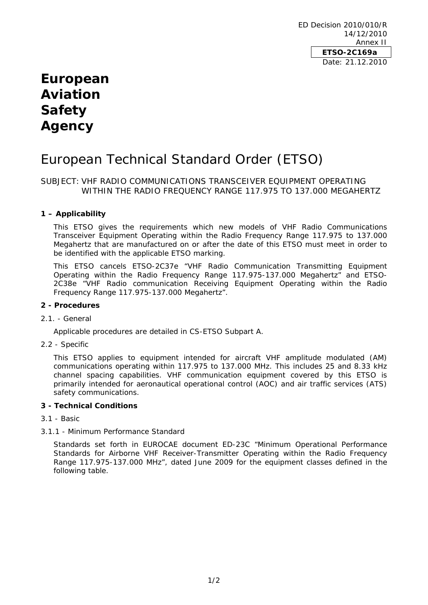ED Decision 2010/010/R 14/12/2010 Annex II **ETSO-2C169a**  Date: 21.12.2010

## **European Aviation Safety Agency**

# European Technical Standard Order (ETSO)

## SUBJECT: VHF RADIO COMMUNICATIONS TRANSCEIVER EQUIPMENT OPERATING WITHIN THE RADIO FREQUENCY RANGE 117.975 TO 137.000 MEGAHERTZ

## **1 – Applicability**

This ETSO gives the requirements which new models of VHF Radio Communications Transceiver Equipment Operating within the Radio Frequency Range 117.975 to 137.000 Megahertz that are manufactured on or after the date of this ETSO must meet in order to be identified with the applicable ETSO marking.

This ETSO cancels ETSO-2C37e "VHF Radio Communication Transmitting Equipment Operating within the Radio Frequency Range 117.975-137.000 Megahertz" and ETSO-2C38e "VHF Radio communication Receiving Equipment Operating within the Radio Frequency Range 117.975-137.000 Megahertz".

## **2 - Procedures**

#### 2.1. - General

Applicable procedures are detailed in CS-ETSO Subpart A.

2.2 - Specific

This ETSO applies to equipment intended for aircraft VHF amplitude modulated (AM) communications operating within 117.975 to 137.000 MHz. This includes 25 and 8.33 kHz channel spacing capabilities. VHF communication equipment covered by this ETSO is primarily intended for aeronautical operational control (AOC) and air traffic services (ATS) safety communications.

## **3 - Technical Conditions**

- 3.1 Basic
- 3.1.1 Minimum Performance Standard

Standards set forth in EUROCAE document ED-23C "Minimum Operational Performance Standards for Airborne VHF Receiver-Transmitter Operating within the Radio Frequency Range 117.975-137.000 MHz", dated June 2009 for the equipment classes defined in the following table.